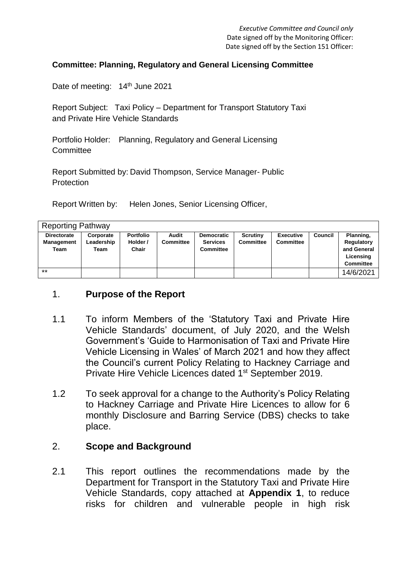#### **Committee: Planning, Regulatory and General Licensing Committee**

Date of meeting: 14<sup>th</sup> June 2021

Report Subject: Taxi Policy – Department for Transport Statutory Taxi and Private Hire Vehicle Standards

Portfolio Holder: Planning, Regulatory and General Licensing **Committee** 

Report Submitted by: David Thompson, Service Manager- Public **Protection** 

Report Written by: Helen Jones, Senior Licensing Officer,

| <b>Reporting Pathway</b>  |                    |                   |                  |                                     |                 |                  |         |                                                            |
|---------------------------|--------------------|-------------------|------------------|-------------------------------------|-----------------|------------------|---------|------------------------------------------------------------|
| <b>Directorate</b>        | Corporate          | <b>Portfolio</b>  | Audit            | <b>Democratic</b>                   | <b>Scrutiny</b> | <b>Executive</b> | Council | Planning,                                                  |
| <b>Management</b><br>Team | Leadership<br>Team | Holder /<br>Chair | <b>Committee</b> | <b>Services</b><br><b>Committee</b> | Committee       | <b>Committee</b> |         | Regulatory<br>and General<br>Licensing<br><b>Committee</b> |
| $***$                     |                    |                   |                  |                                     |                 |                  |         | 14/6/2021                                                  |

#### 1. **Purpose of the Report**

- 1.1 To inform Members of the 'Statutory Taxi and Private Hire Vehicle Standards' document, of July 2020, and the Welsh Government's 'Guide to Harmonisation of Taxi and Private Hire Vehicle Licensing in Wales' of March 2021 and how they affect the Council's current Policy Relating to Hackney Carriage and Private Hire Vehicle Licences dated 1st September 2019.
- 1.2 To seek approval for a change to the Authority's Policy Relating to Hackney Carriage and Private Hire Licences to allow for 6 monthly Disclosure and Barring Service (DBS) checks to take place.

#### 2. **Scope and Background**

2.1 This report outlines the recommendations made by the Department for Transport in the Statutory Taxi and Private Hire Vehicle Standards, copy attached at **Appendix 1**, to reduce risks for children and vulnerable people in high risk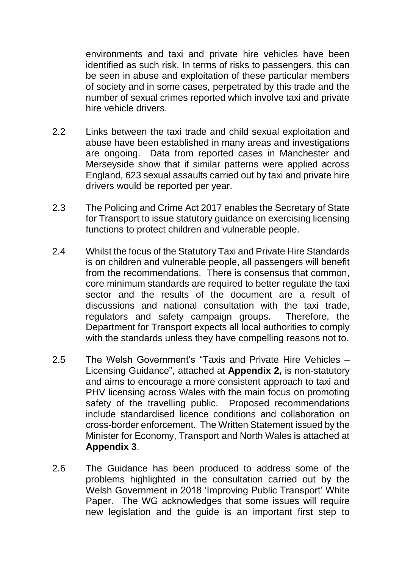environments and taxi and private hire vehicles have been identified as such risk. In terms of risks to passengers, this can be seen in abuse and exploitation of these particular members of society and in some cases, perpetrated by this trade and the number of sexual crimes reported which involve taxi and private hire vehicle drivers.

- 2.2 Links between the taxi trade and child sexual exploitation and abuse have been established in many areas and investigations are ongoing. Data from reported cases in Manchester and Merseyside show that if similar patterns were applied across England, 623 sexual assaults carried out by taxi and private hire drivers would be reported per year.
- 2.3 The Policing and Crime Act 2017 enables the Secretary of State for Transport to issue statutory guidance on exercising licensing functions to protect children and vulnerable people.
- 2.4 Whilst the focus of the Statutory Taxi and Private Hire Standards is on children and vulnerable people, all passengers will benefit from the recommendations. There is consensus that common, core minimum standards are required to better regulate the taxi sector and the results of the document are a result of discussions and national consultation with the taxi trade, regulators and safety campaign groups. Therefore, the Department for Transport expects all local authorities to comply with the standards unless they have compelling reasons not to.
- 2.5 The Welsh Government's "Taxis and Private Hire Vehicles Licensing Guidance", attached at **Appendix 2,** is non-statutory and aims to encourage a more consistent approach to taxi and PHV licensing across Wales with the main focus on promoting safety of the travelling public. Proposed recommendations include standardised licence conditions and collaboration on cross-border enforcement. The Written Statement issued by the Minister for Economy, Transport and North Wales is attached at **Appendix 3**.
- 2.6 The Guidance has been produced to address some of the problems highlighted in the consultation carried out by the Welsh Government in 2018 'Improving Public Transport' White Paper. The WG acknowledges that some issues will require new legislation and the guide is an important first step to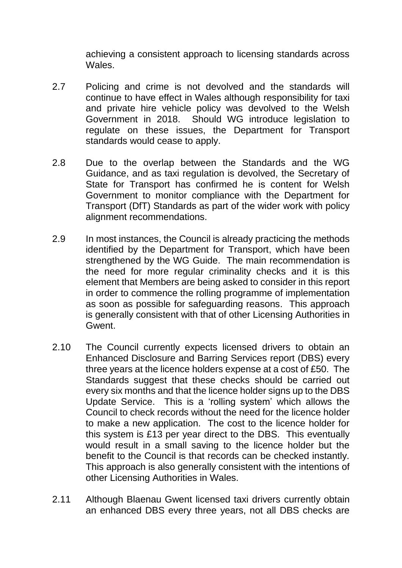achieving a consistent approach to licensing standards across Wales.

- 2.7 Policing and crime is not devolved and the standards will continue to have effect in Wales although responsibility for taxi and private hire vehicle policy was devolved to the Welsh Government in 2018. Should WG introduce legislation to regulate on these issues, the Department for Transport standards would cease to apply.
- 2.8 Due to the overlap between the Standards and the WG Guidance, and as taxi regulation is devolved, the Secretary of State for Transport has confirmed he is content for Welsh Government to monitor compliance with the Department for Transport (DfT) Standards as part of the wider work with policy alignment recommendations.
- 2.9 In most instances, the Council is already practicing the methods identified by the Department for Transport, which have been strengthened by the WG Guide. The main recommendation is the need for more regular criminality checks and it is this element that Members are being asked to consider in this report in order to commence the rolling programme of implementation as soon as possible for safeguarding reasons. This approach is generally consistent with that of other Licensing Authorities in Gwent.
- 2.10 The Council currently expects licensed drivers to obtain an Enhanced Disclosure and Barring Services report (DBS) every three years at the licence holders expense at a cost of £50. The Standards suggest that these checks should be carried out every six months and that the licence holder signs up to the DBS Update Service. This is a 'rolling system' which allows the Council to check records without the need for the licence holder to make a new application. The cost to the licence holder for this system is £13 per year direct to the DBS. This eventually would result in a small saving to the licence holder but the benefit to the Council is that records can be checked instantly. This approach is also generally consistent with the intentions of other Licensing Authorities in Wales.
- 2.11 Although Blaenau Gwent licensed taxi drivers currently obtain an enhanced DBS every three years, not all DBS checks are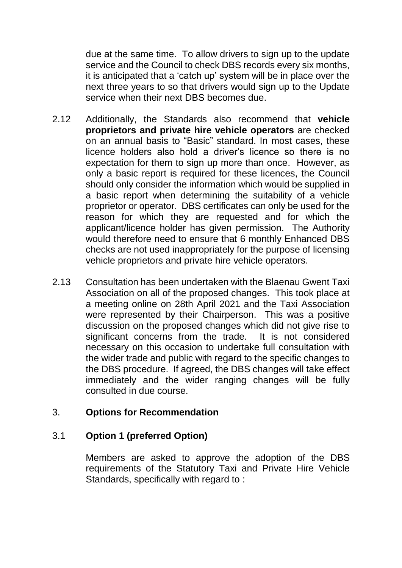due at the same time. To allow drivers to sign up to the update service and the Council to check DBS records every six months, it is anticipated that a 'catch up' system will be in place over the next three years to so that drivers would sign up to the Update service when their next DBS becomes due.

- 2.12 Additionally, the Standards also recommend that **vehicle proprietors and private hire vehicle operators** are checked on an annual basis to "Basic" standard. In most cases, these licence holders also hold a driver's licence so there is no expectation for them to sign up more than once. However, as only a basic report is required for these licences, the Council should only consider the information which would be supplied in a basic report when determining the suitability of a vehicle proprietor or operator. DBS certificates can only be used for the reason for which they are requested and for which the applicant/licence holder has given permission. The Authority would therefore need to ensure that 6 monthly Enhanced DBS checks are not used inappropriately for the purpose of licensing vehicle proprietors and private hire vehicle operators.
- 2.13 Consultation has been undertaken with the Blaenau Gwent Taxi Association on all of the proposed changes. This took place at a meeting online on 28th April 2021 and the Taxi Association were represented by their Chairperson. This was a positive discussion on the proposed changes which did not give rise to significant concerns from the trade. It is not considered necessary on this occasion to undertake full consultation with the wider trade and public with regard to the specific changes to the DBS procedure. If agreed, the DBS changes will take effect immediately and the wider ranging changes will be fully consulted in due course.

### 3. **Options for Recommendation**

#### 3.1 **Option 1 (preferred Option)**

Members are asked to approve the adoption of the DBS requirements of the Statutory Taxi and Private Hire Vehicle Standards, specifically with regard to :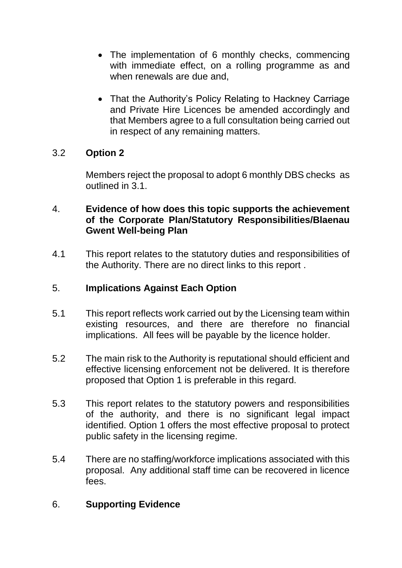- The implementation of 6 monthly checks, commencing with immediate effect, on a rolling programme as and when renewals are due and,
- That the Authority's Policy Relating to Hackney Carriage and Private Hire Licences be amended accordingly and that Members agree to a full consultation being carried out in respect of any remaining matters.

# 3.2 **Option 2**

Members reject the proposal to adopt 6 monthly DBS checks as outlined in 3.1.

### 4. **Evidence of how does this topic supports the achievement of the Corporate Plan/Statutory Responsibilities/Blaenau Gwent Well-being Plan**

4.1 This report relates to the statutory duties and responsibilities of the Authority. There are no direct links to this report .

### 5. **Implications Against Each Option**

- 5.1 This report reflects work carried out by the Licensing team within existing resources, and there are therefore no financial implications. All fees will be payable by the licence holder.
- 5.2 The main risk to the Authority is reputational should efficient and effective licensing enforcement not be delivered. It is therefore proposed that Option 1 is preferable in this regard.
- 5.3 This report relates to the statutory powers and responsibilities of the authority, and there is no significant legal impact identified. Option 1 offers the most effective proposal to protect public safety in the licensing regime.
- 5.4 There are no staffing/workforce implications associated with this proposal. Any additional staff time can be recovered in licence fees.

# 6. **Supporting Evidence**